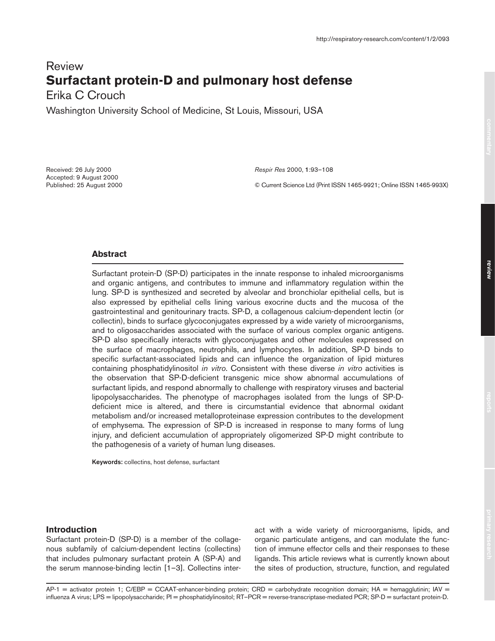# Review **Surfactant protein-D and pulmonary host defense**

Erika C Crouch

Washington University School of Medicine, St Louis, Missouri, USA

Received: 26 July 2000 Accepted: 9 August 2000 Published: 25 August 2000 *Respir Res* 2000, **1**:93–108

© Current Science Ltd (Print ISSN 1465-9921; Online ISSN 1465-993X)

# **Abstract**

Surfactant protein-D (SP-D) participates in the innate response to inhaled microorganisms and organic antigens, and contributes to immune and inflammatory regulation within the lung. SP-D is synthesized and secreted by alveolar and bronchiolar epithelial cells, but is also expressed by epithelial cells lining various exocrine ducts and the mucosa of the gastrointestinal and genitourinary tracts. SP-D, a collagenous calcium-dependent lectin (or collectin), binds to surface glycoconjugates expressed by a wide variety of microorganisms, and to oligosaccharides associated with the surface of various complex organic antigens. SP-D also specifically interacts with glycoconjugates and other molecules expressed on the surface of macrophages, neutrophils, and lymphocytes. In addition, SP-D binds to specific surfactant-associated lipids and can influence the organization of lipid mixtures containing phosphatidylinositol *in vitro*. Consistent with these diverse *in vitro* activities is the observation that SP-D-deficient transgenic mice show abnormal accumulations of surfactant lipids, and respond abnormally to challenge with respiratory viruses and bacterial lipopolysaccharides. The phenotype of macrophages isolated from the lungs of SP-Ddeficient mice is altered, and there is circumstantial evidence that abnormal oxidant metabolism and/or increased metalloproteinase expression contributes to the development of emphysema. The expression of SP-D is increased in response to many forms of lung injury, and deficient accumulation of appropriately oligomerized SP-D might contribute to the pathogenesis of a variety of human lung diseases.

**Keywords:** collectins, host defense, surfactant

# **Introduction**

Surfactant protein-D (SP-D) is a member of the collagenous subfamily of calcium-dependent lectins (collectins) that includes pulmonary surfactant protein A (SP-A) and the serum mannose-binding lectin [1–3]. Collectins interact with a wide variety of microorganisms, lipids, and organic particulate antigens, and can modulate the function of immune effector cells and their responses to these ligands. This article reviews what is currently known about the sites of production, structure, function, and regulated

 $AP-1$  = activator protein 1; C/EBP = CCAAT-enhancer-binding protein; CRD = carbohydrate recognition domain; HA = hemagglutinin; IAV = influenza A virus; LPS = lipopolysaccharide; PI = phosphatidylinositol; RT–PCR = reverse-transcriptase-mediated PCR; SP-D = surfactant protein-D.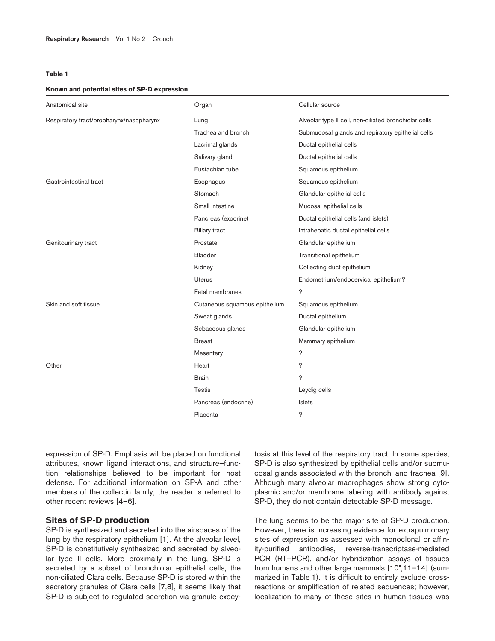## **Known and potential sites of SP-D expression**

| Anatomical site                          | Organ                         | Cellular source                                       |
|------------------------------------------|-------------------------------|-------------------------------------------------------|
| Respiratory tract/oropharynx/nasopharynx | Lung                          | Alveolar type II cell, non-ciliated bronchiolar cells |
|                                          | Trachea and bronchi           | Submucosal glands and repiratory epithelial cells     |
|                                          | Lacrimal glands               | Ductal epithelial cells                               |
|                                          | Salivary gland                | Ductal epithelial cells                               |
|                                          | Eustachian tube               | Squamous epithelium                                   |
| Gastrointestinal tract                   | Esophagus                     | Squamous epithelium                                   |
|                                          | Stomach                       | Glandular epithelial cells                            |
|                                          | Small intestine               | Mucosal epithelial cells                              |
|                                          | Pancreas (exocrine)           | Ductal epithelial cells (and islets)                  |
|                                          | <b>Biliary tract</b>          | Intrahepatic ductal epithelial cells                  |
| Genitourinary tract                      | Prostate                      | Glandular epithelium                                  |
|                                          | <b>Bladder</b>                | Transitional epithelium                               |
|                                          | Kidney                        | Collecting duct epithelium                            |
|                                          | Uterus                        | Endometrium/endocervical epithelium?                  |
|                                          | Fetal membranes               | b.                                                    |
| Skin and soft tissue                     | Cutaneous squamous epithelium | Squamous epithelium                                   |
|                                          | Sweat glands                  | Ductal epithelium                                     |
|                                          | Sebaceous glands              | Glandular epithelium                                  |
|                                          | <b>Breast</b>                 | Mammary epithelium                                    |
|                                          | Mesentery                     | b.                                                    |
| Other                                    | Heart                         | ç                                                     |
|                                          | <b>Brain</b>                  | b.                                                    |
|                                          | Testis                        | Leydig cells                                          |
|                                          | Pancreas (endocrine)          | Islets                                                |
|                                          | Placenta                      | b.                                                    |

expression of SP-D. Emphasis will be placed on functional attributes, known ligand interactions, and structure–function relationships believed to be important for host defense. For additional information on SP-A and other members of the collectin family, the reader is referred to other recent reviews [4–6].

# **Sites of SP-D production**

SP-D is synthesized and secreted into the airspaces of the lung by the respiratory epithelium [1]. At the alveolar level, SP-D is constitutively synthesized and secreted by alveolar type II cells. More proximally in the lung, SP-D is secreted by a subset of bronchiolar epithelial cells, the non-ciliated Clara cells. Because SP-D is stored within the secretory granules of Clara cells [7,8], it seems likely that SP-D is subject to regulated secretion via granule exocytosis at this level of the respiratory tract. In some species, SP-D is also synthesized by epithelial cells and/or submucosal glands associated with the bronchi and trachea [9]. Although many alveolar macrophages show strong cytoplasmic and/or membrane labeling with antibody against SP-D, they do not contain detectable SP-D message.

The lung seems to be the major site of SP-D production. However, there is increasing evidence for extrapulmonary sites of expression as assessed with monoclonal or affinity-purified antibodies, reverse-transcriptase-mediated PCR (RT–PCR), and/or hybridization assays of tissues from humans and other large mammals [10•,11–14] (summarized in Table 1). It is difficult to entirely exclude crossreactions or amplification of related sequences; however, localization to many of these sites in human tissues was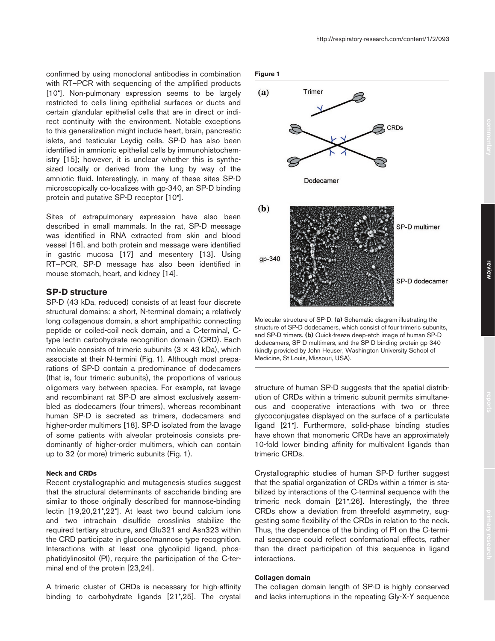confirmed by using monoclonal antibodies in combination with RT–PCR with sequencing of the amplified products [10<sup>•</sup>]. Non-pulmonary expression seems to be largely restricted to cells lining epithelial surfaces or ducts and certain glandular epithelial cells that are in direct or indirect continuity with the environment. Notable exceptions to this generalization might include heart, brain, pancreatic islets, and testicular Leydig cells. SP-D has also been identified in amnionic epithelial cells by immunohistochemistry [15]; however, it is unclear whether this is synthesized locally or derived from the lung by way of the amniotic fluid. Interestingly, in many of these sites SP-D microscopically co-localizes with gp-340, an SP-D binding protein and putative SP-D receptor [10•].

Sites of extrapulmonary expression have also been described in small mammals. In the rat, SP-D message was identified in RNA extracted from skin and blood vessel [16], and both protein and message were identified in gastric mucosa [17] and mesentery [13]. Using RT–PCR, SP-D message has also been identified in mouse stomach, heart, and kidney [14].

# **SP-D structure**

SP-D (43 kDa, reduced) consists of at least four discrete structural domains: a short, N-terminal domain; a relatively long collagenous domain, a short amphipathic connecting peptide or coiled-coil neck domain, and a C-terminal, Ctype lectin carbohydrate recognition domain (CRD). Each molecule consists of trimeric subunits  $(3 \times 43 \text{ kDa})$ , which associate at their N-termini (Fig. 1). Although most preparations of SP-D contain a predominance of dodecamers (that is, four trimeric subunits), the proportions of various oligomers vary between species. For example, rat lavage and recombinant rat SP-D are almost exclusively assembled as dodecamers (four trimers), whereas recombinant human SP-D is secreted as trimers, dodecamers and higher-order multimers [18]. SP-D isolated from the lavage of some patients with alveolar proteinosis consists predominantly of higher-order multimers, which can contain up to 32 (or more) trimeric subunits (Fig. 1).

# **Neck and CRDs**

Recent crystallographic and mutagenesis studies suggest that the structural determinants of saccharide binding are similar to those originally described for mannose-binding lectin [19,20,21•,22•]. At least two bound calcium ions and two intrachain disulfide crosslinks stabilize the required tertiary structure, and Glu321 and Asn323 within the CRD participate in glucose/mannose type recognition. Interactions with at least one glycolipid ligand, phosphatidylinositol (PI), require the participation of the C-terminal end of the protein [23,24].

A trimeric cluster of CRDs is necessary for high-affinity binding to carbohydrate ligands [21•,25]. The crystal



Molecular structure of SP-D. **(a)** Schematic diagram illustrating the structure of SP-D dodecamers, which consist of four trimeric subunits, and SP-D trimers. **(b)** Quick-freeze deep-etch image of human SP-D dodecamers, SP-D multimers, and the SP-D binding protein gp-340 (kindly provided by John Heuser, Washington University School of Medicine, St Louis, Missouri, USA).

structure of human SP-D suggests that the spatial distribution of CRDs within a trimeric subunit permits simultaneous and cooperative interactions with two or three glycoconjugates displayed on the surface of a particulate ligand [21•]. Furthermore, solid-phase binding studies have shown that monomeric CRDs have an approximately 10-fold lower binding affinity for multivalent ligands than trimeric CRDs.

Crystallographic studies of human SP-D further suggest that the spatial organization of CRDs within a trimer is stabilized by interactions of the C-terminal sequence with the trimeric neck domain [21•,26]. Interestingly, the three CRDs show a deviation from threefold asymmetry, suggesting some flexibility of the CRDs in relation to the neck. Thus, the dependence of the binding of PI on the C-terminal sequence could reflect conformational effects, rather than the direct participation of this sequence in ligand interactions.

# **Collagen domain**

The collagen domain length of SP-D is highly conserved and lacks interruptions in the repeating Gly-X-Y sequence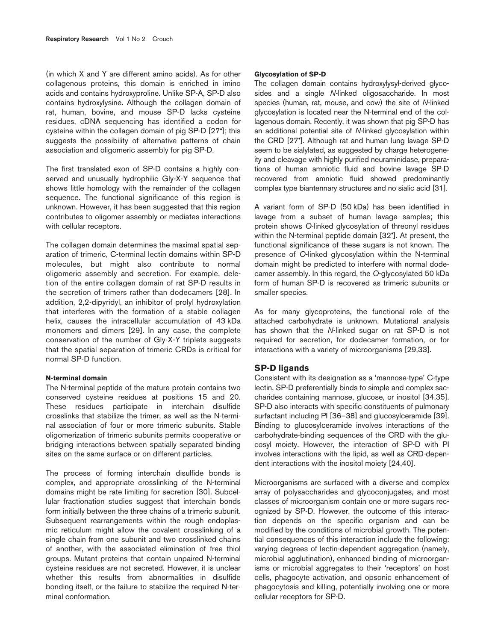(in which X and Y are different amino acids). As for other collagenous proteins, this domain is enriched in imino acids and contains hydroxyproline. Unlike SP-A, SP-D also contains hydroxylysine. Although the collagen domain of rat, human, bovine, and mouse SP-D lacks cysteine residues, cDNA sequencing has identified a codon for cysteine within the collagen domain of pig SP-D [27•]; this suggests the possibility of alternative patterns of chain association and oligomeric assembly for pig SP-D.

The first translated exon of SP-D contains a highly conserved and unusually hydrophilic Gly-X-Y sequence that shows little homology with the remainder of the collagen sequence. The functional significance of this region is unknown. However, it has been suggested that this region contributes to oligomer assembly or mediates interactions with cellular receptors.

The collagen domain determines the maximal spatial separation of trimeric, C-terminal lectin domains within SP-D molecules, but might also contribute to normal oligomeric assembly and secretion. For example, deletion of the entire collagen domain of rat SP-D results in the secretion of trimers rather than dodecamers [28]. In addition, 2,2-dipyridyl, an inhibitor of prolyl hydroxylation that interferes with the formation of a stable collagen helix, causes the intracellular accumulation of 43 kDa monomers and dimers [29]. In any case, the complete conservation of the number of Gly-X-Y triplets suggests that the spatial separation of trimeric CRDs is critical for normal SP-D function.

# **N-terminal domain**

The N-terminal peptide of the mature protein contains two conserved cysteine residues at positions 15 and 20. These residues participate in interchain disulfide crosslinks that stabilize the trimer, as well as the N-terminal association of four or more trimeric subunits. Stable oligomerization of trimeric subunits permits cooperative or bridging interactions between spatially separated binding sites on the same surface or on different particles.

The process of forming interchain disulfide bonds is complex, and appropriate crosslinking of the N-terminal domains might be rate limiting for secretion [30]. Subcellular fractionation studies suggest that interchain bonds form initially between the three chains of a trimeric subunit. Subsequent rearrangements within the rough endoplasmic reticulum might allow the covalent crosslinking of a single chain from one subunit and two crosslinked chains of another, with the associated elimination of free thiol groups. Mutant proteins that contain unpaired N-terminal cysteine residues are not secreted. However, it is unclear whether this results from abnormalities in disulfide bonding itself, or the failure to stabilize the required N-terminal conformation.

#### **Glycosylation of SP-D**

The collagen domain contains hydroxylysyl-derived glycosides and a single *N*-linked oligosaccharide. In most species (human, rat, mouse, and cow) the site of *N*-linked glycosylation is located near the N-terminal end of the collagenous domain. Recently, it was shown that pig SP-D has an additional potential site of *N*-linked glycosylation within the CRD [27•]. Although rat and human lung lavage SP-D seem to be sialylated, as suggested by charge heterogeneity and cleavage with highly purified neuraminidase, preparations of human amniotic fluid and bovine lavage SP-D recovered from amniotic fluid showed predominantly complex type biantennary structures and no sialic acid [31].

A variant form of SP-D (50 kDa) has been identified in lavage from a subset of human lavage samples; this protein shows *O*-linked glycosylation of threonyl residues within the N-terminal peptide domain [32•]. At present, the functional significance of these sugars is not known. The presence of *O*-linked glycosylation within the N-terminal domain might be predicted to interfere with normal dodecamer assembly. In this regard, the *O*-glycosylated 50 kDa form of human SP-D is recovered as trimeric subunits or smaller species.

As for many glycoproteins, the functional role of the attached carbohydrate is unknown. Mutational analysis has shown that the *N*-linked sugar on rat SP-D is not required for secretion, for dodecamer formation, or for interactions with a variety of microorganisms [29,33].

## **SP-D ligands**

Consistent with its designation as a 'mannose-type' C-type lectin, SP-D preferentially binds to simple and complex saccharides containing mannose, glucose, or inositol [34,35]. SP-D also interacts with specific constituents of pulmonary surfactant including PI [36–38] and glucosylceramide [39]. Binding to glucosylceramide involves interactions of the carbohydrate-binding sequences of the CRD with the glucosyl moiety. However, the interaction of SP-D with PI involves interactions with the lipid, as well as CRD-dependent interactions with the inositol moiety [24,40].

Microorganisms are surfaced with a diverse and complex array of polysaccharides and glycoconjugates, and most classes of microorganism contain one or more sugars recognized by SP-D. However, the outcome of this interaction depends on the specific organism and can be modified by the conditions of microbial growth. The potential consequences of this interaction include the following: varying degrees of lectin-dependent aggregation (namely, microbial agglutination), enhanced binding of microorganisms or microbial aggregates to their 'receptors' on host cells, phagocyte activation, and opsonic enhancement of phagocytosis and killing, potentially involving one or more cellular receptors for SP-D.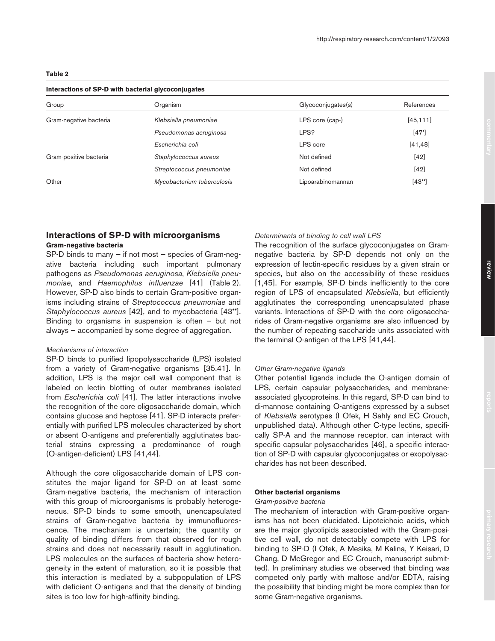## **Interactions of SP-D with bacterial glycoconjugates**

| Organism                   | Glycoconjugates(s) | References |  |  |
|----------------------------|--------------------|------------|--|--|
| Klebsiella pneumoniae      | LPS core (cap-)    | [45, 111]  |  |  |
| Pseudomonas aeruginosa     | LPS?               | [47]       |  |  |
| Escherichia coli           | LPS core           | [41, 48]   |  |  |
| Staphylococcus aureus      | Not defined        | $[42]$     |  |  |
| Streptococcus pneumoniae   | Not defined        | $[42]$     |  |  |
| Mycobacterium tuberculosis | Lipoarabinomannan  | [43"       |  |  |
|                            |                    |            |  |  |

# **Interactions of SP-D with microorganisms**

## **Gram-negative bacteria**

SP-D binds to many — if not most — species of Gram-negative bacteria including such important pulmonary pathogens as *Pseudomonas aeruginosa*, *Klebsiella pneumoniae*, and *Haemophilus influenzae* [41] (Table 2). However, SP-D also binds to certain Gram-positive organisms including strains of *Streptococcus pneumoniae* and *Staphylococcus aureus* [42], and to mycobacteria [43••]. Binding to organisms in suspension is often  $-$  but not always — accompanied by some degree of aggregation.

## *Mechanisms of interaction*

SP-D binds to purified lipopolysaccharide (LPS) isolated from a variety of Gram-negative organisms [35,41]. In addition, LPS is the major cell wall component that is labeled on lectin blotting of outer membranes isolated from *Escherichia coli* [41]. The latter interactions involve the recognition of the core oligosaccharide domain, which contains glucose and heptose [41]. SP-D interacts preferentially with purified LPS molecules characterized by short or absent O-antigens and preferentially agglutinates bacterial strains expressing a predominance of rough (O-antigen-deficient) LPS [41,44].

Although the core oligosaccharide domain of LPS constitutes the major ligand for SP-D on at least some Gram-negative bacteria, the mechanism of interaction with this group of microorganisms is probably heterogeneous. SP-D binds to some smooth, unencapsulated strains of Gram-negative bacteria by immunofluorescence. The mechanism is uncertain; the quantity or quality of binding differs from that observed for rough strains and does not necessarily result in agglutination. LPS molecules on the surfaces of bacteria show heterogeneity in the extent of maturation, so it is possible that this interaction is mediated by a subpopulation of LPS with deficient O-antigens and that the density of binding sites is too low for high-affinity binding.

# *Determinants of binding to cell wall LPS*

The recognition of the surface glycoconjugates on Gramnegative bacteria by SP-D depends not only on the expression of lectin-specific residues by a given strain or species, but also on the accessibility of these residues [1,45]. For example, SP-D binds inefficiently to the core region of LPS of encapsulated *Klebsiella*, but efficiently agglutinates the corresponding unencapsulated phase variants. Interactions of SP-D with the core oligosaccharides of Gram-negative organisms are also influenced by the number of repeating saccharide units associated with the terminal O-antigen of the LPS [41,44].

## *Other Gram-negative ligands*

Other potential ligands include the O-antigen domain of LPS, certain capsular polysaccharides, and membraneassociated glycoproteins. In this regard, SP-D can bind to di-mannose containing O-antigens expressed by a subset of *Klebsiella* serotypes (I Ofek, H Sahly and EC Crouch, unpublished data). Although other C-type lectins, specifically SP-A and the mannose receptor, can interact with specific capsular polysaccharides [46], a specific interaction of SP-D with capsular glycoconjugates or exopolysaccharides has not been described.

# **Other bacterial organisms**

#### *Gram-positive bacteria*

The mechanism of interaction with Gram-positive organisms has not been elucidated. Lipoteichoic acids, which are the major glycolipids associated with the Gram-positive cell wall, do not detectably compete with LPS for binding to SP-D (I Ofek, A Mesika, M Kalina, Y Keisari, D Chang, D McGregor and EC Crouch, manuscript submitted). In preliminary studies we observed that binding was competed only partly with maltose and/or EDTA, raising the possibility that binding might be more complex than for some Gram-negative organisms.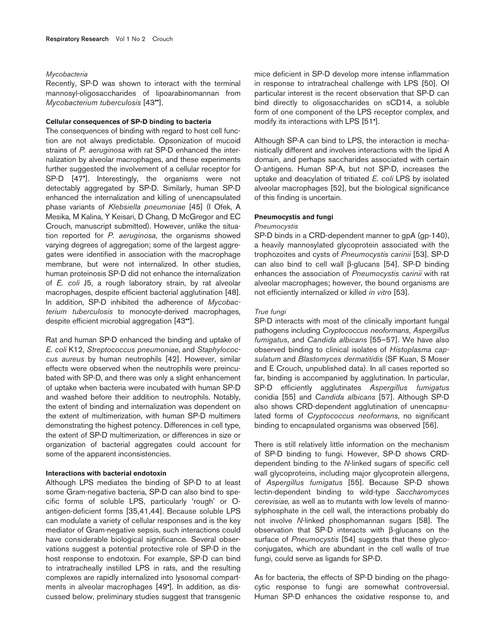#### *Mycobacteria*

Recently, SP-D was shown to interact with the terminal mannosyl-oligosaccharides of lipoarabinomannan from *Mycobacterium tuberculosis* [43••].

# **Cellular consequences of SP-D binding to bacteria**

The consequences of binding with regard to host cell function are not always predictable. Opsonization of mucoid strains of *P. aeruginosa* with rat SP-D enhanced the internalization by alveolar macrophages, and these experiments further suggested the involvement of a cellular receptor for SP-D [47<sup>°</sup>]. Interestingly, the organisms were not detectably aggregated by SP-D. Similarly, human SP-D enhanced the internalization and killing of unencapsulated phase variants of *Klebsiella pneumoniae* [45] (I Ofek, A Mesika, M Kalina, Y Keisari, D Chang, D McGregor and EC Crouch, manuscript submitted). However, unlike the situation reported for *P. aeruginosa*, the organisms showed varying degrees of aggregation; some of the largest aggregates were identified in association with the macrophage membrane, but were not internalized. In other studies, human proteinosis SP-D did not enhance the internalization of *E. coli* J5, a rough laboratory strain, by rat alveolar macrophages, despite efficient bacterial agglutination [48]. In addition, SP-D inhibited the adherence of *Mycobacterium tuberculosis* to monocyte-derived macrophages, despite efficient microbial aggregation [43••].

Rat and human SP-D enhanced the binding and uptake of *E. coli* K12, *Streptococcus pneumoniae*, and *Staphylococcus aureus* by human neutrophils [42]. However, similar effects were observed when the neutrophils were preincubated with SP-D, and there was only a slight enhancement of uptake when bacteria were incubated with human SP-D and washed before their addition to neutrophils. Notably, the extent of binding and internalization was dependent on the extent of multimerization, with human SP-D multimers demonstrating the highest potency. Differences in cell type, the extent of SP-D multimerization, or differences in size or organization of bacterial aggregates could account for some of the apparent inconsistencies.

## **Interactions with bacterial endotoxin**

Although LPS mediates the binding of SP-D to at least some Gram-negative bacteria, SP-D can also bind to specific forms of soluble LPS, particularly 'rough' or Oantigen-deficient forms [35,41,44]. Because soluble LPS can modulate a variety of cellular responses and is the key mediator of Gram-negative sepsis, such interactions could have considerable biological significance. Several observations suggest a potential protective role of SP-D in the host response to endotoxin. For example, SP-D can bind to intratracheally instilled LPS in rats, and the resulting complexes are rapidly internalized into lysosomal compartments in alveolar macrophages [49•]. In addition, as discussed below, preliminary studies suggest that transgenic

mice deficient in SP-D develop more intense inflammation in response to intratracheal challenge with LPS [50]. Of particular interest is the recent observation that SP-D can bind directly to oligosaccharides on sCD14, a soluble form of one component of the LPS receptor complex, and modify its interactions with LPS [51•].

Although SP-A can bind to LPS, the interaction is mechanistically different and involves interactions with the lipid A domain, and perhaps saccharides associated with certain O-antigens. Human SP-A, but not SP-D, increases the uptake and deacylation of tritiated *E. coli* LPS by isolated alveolar macrophages [52], but the biological significance of this finding is uncertain.

#### **Pneumocystis and fungi**

## *Pneumocystis*

SP-D binds in a CRD-dependent manner to gpA (gp-140), a heavily mannosylated glycoprotein associated with the trophozoites and cysts of *Pneumocystis carinii* [53]. SP-D can also bind to cell wall β-glucans [54]. SP-D binding enhances the association of *Pneumocystis carinii* with rat alveolar macrophages; however, the bound organisms are not efficiently internalized or killed *in vitro* [53].

# *True fungi*

SP-D interacts with most of the clinically important fungal pathogens including *Cryptococcus neoformans*, *Aspergillus fumigatus*, and *Candida albicans* [55–57]. We have also observed binding to clinical isolates of *Histoplasma capsulatum* and *Blastomyces dermatitidis* (SF Kuan, S Moser and E Crouch, unpublished data). In all cases reported so far, binding is accompanied by agglutination. In particular, SP-D efficiently agglutinates *Aspergillus fumigatus* conidia [55] and *Candida albicans* [57]. Although SP-D also shows CRD-dependent agglutination of unencapsulated forms of *Cryptococcus neoformans*, no significant binding to encapsulated organisms was observed [56].

There is still relatively little information on the mechanism of SP-D binding to fungi. However, SP-D shows CRDdependent binding to the *N*-linked sugars of specific cell wall glycoproteins, including major glycoprotein allergens, of *Aspergillus fumigatus* [55]. Because SP-D shows lectin-dependent binding to wild-type *Saccharomyces cerevisiae,* as well as to mutants with low levels of mannosylphosphate in the cell wall, the interactions probably do not involve *N*-linked phosphomannan sugars [58]. The observation that SP-D interacts with β-glucans on the surface of *Pneumocystis* [54] suggests that these glycoconjugates, which are abundant in the cell walls of true fungi, could serve as ligands for SP-D.

As for bacteria, the effects of SP-D binding on the phagocytic response to fungi are somewhat controversial. Human SP-D enhances the oxidative response to, and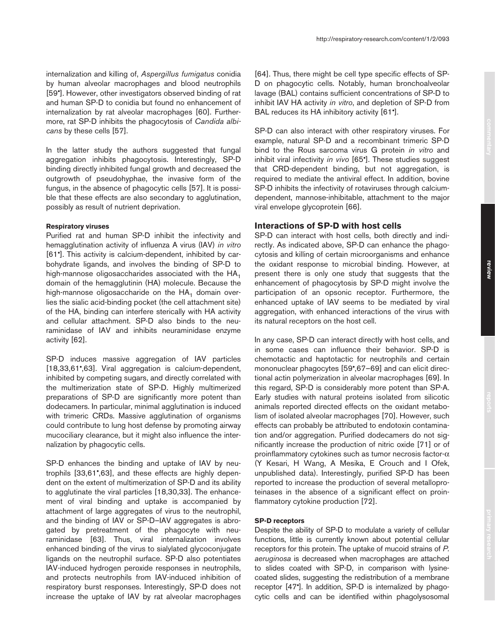internalization and killing of, *Aspergillus fumigatus* conidia by human alveolar macrophages and blood neutrophils [59•]. However, other investigators observed binding of rat and human SP-D to conidia but found no enhancement of internalization by rat alveolar macrophages [60]. Furthermore, rat SP-D inhibits the phagocytosis of *Candida albicans* by these cells [57].

In the latter study the authors suggested that fungal aggregation inhibits phagocytosis. Interestingly, SP-D binding directly inhibited fungal growth and decreased the outgrowth of pseudohyphae, the invasive form of the fungus, in the absence of phagocytic cells [57]. It is possible that these effects are also secondary to agglutination, possibly as result of nutrient deprivation.

## **Respiratory viruses**

Purified rat and human SP-D inhibit the infectivity and hemagglutination activity of influenza A virus (IAV) *in vitro* [61•]. This activity is calcium-dependent, inhibited by carbohydrate ligands, and involves the binding of SP-D to high-mannose oligosaccharides associated with the  $HA_1$ domain of the hemagglutinin (HA) molecule. Because the high-mannose oligosaccharide on the  $HA_1$  domain overlies the sialic acid-binding pocket (the cell attachment site) of the HA, binding can interfere sterically with HA activity and cellular attachment. SP-D also binds to the neuraminidase of IAV and inhibits neuraminidase enzyme activity [62].

SP-D induces massive aggregation of IAV particles [18,33,61°,63]. Viral aggregation is calcium-dependent, inhibited by competing sugars, and directly correlated with the multimerization state of SP-D. Highly multimerized preparations of SP-D are significantly more potent than dodecamers. In particular, minimal agglutination is induced with trimeric CRDs. Massive agglutination of organisms could contribute to lung host defense by promoting airway mucociliary clearance, but it might also influence the internalization by phagocytic cells.

SP-D enhances the binding and uptake of IAV by neutrophils [33,61•,63], and these effects are highly dependent on the extent of multimerization of SP-D and its ability to agglutinate the viral particles [18,30,33]. The enhancement of viral binding and uptake is accompanied by attachment of large aggregates of virus to the neutrophil, and the binding of IAV or SP-D–IAV aggregates is abrogated by pretreatment of the phagocyte with neuraminidase [63]. Thus, viral internalization involves enhanced binding of the virus to sialylated glycoconjugate ligands on the neutrophil surface. SP-D also potentiates IAV-induced hydrogen peroxide responses in neutrophils, and protects neutrophils from IAV-induced inhibition of respiratory burst responses. Interestingly, SP-D does not increase the uptake of IAV by rat alveolar macrophages [64]. Thus, there might be cell type specific effects of SP-D on phagocytic cells. Notably, human bronchoalveolar lavage (BAL) contains sufficient concentrations of SP-D to inhibit IAV HA activity *in vitro*, and depletion of SP-D from BAL reduces its HA inhibitory activity [61•].

SP-D can also interact with other respiratory viruses. For example, natural SP-D and a recombinant trimeric SP-D bind to the Rous sarcoma virus G protein *in vitro* and inhibit viral infectivity *in vivo* [65•]. These studies suggest that CRD-dependent binding, but not aggregation, is required to mediate the antiviral effect. In addition, bovine SP-D inhibits the infectivity of rotaviruses through calciumdependent, mannose-inhibitable, attachment to the major viral envelope glycoprotein [66].

# **Interactions of SP-D with host cells**

SP-D can interact with host cells, both directly and indirectly. As indicated above, SP-D can enhance the phagocytosis and killing of certain microorganisms and enhance the oxidant response to microbial binding. However, at present there is only one study that suggests that the enhancement of phagocytosis by SP-D might involve the participation of an opsonic receptor. Furthermore, the enhanced uptake of IAV seems to be mediated by viral aggregation, with enhanced interactions of the virus with its natural receptors on the host cell.

In any case, SP-D can interact directly with host cells, and in some cases can influence their behavior. SP-D is chemotactic and haptotactic for neutrophils and certain mononuclear phagocytes [59•,67–69] and can elicit directional actin polymerization in alveolar macrophages [69]. In this regard, SP-D is considerably more potent than SP-A. Early studies with natural proteins isolated from silicotic animals reported directed effects on the oxidant metabolism of isolated alveolar macrophages [70]. However, such effects can probably be attributed to endotoxin contamination and/or aggregation. Purified dodecamers do not significantly increase the production of nitric oxide [71] or of proinflammatory cytokines such as tumor necrosis factor-α (Y Kesari, H Wang, A Mesika, E Crouch and I Ofek, unpublished data). Interestingly, purified SP-D has been reported to increase the production of several metalloproteinases in the absence of a significant effect on proinflammatory cytokine production [72].

## **SP-D receptors**

Despite the ability of SP-D to modulate a variety of cellular functions, little is currently known about potential cellular receptors for this protein. The uptake of mucoid strains of *P. aeruginosa* is decreased when macrophages are attached to slides coated with SP-D, in comparison with lysinecoated slides, suggesting the redistribution of a membrane receptor [47•]. In addition, SP-D is internalized by phagocytic cells and can be identified within phagolysosomal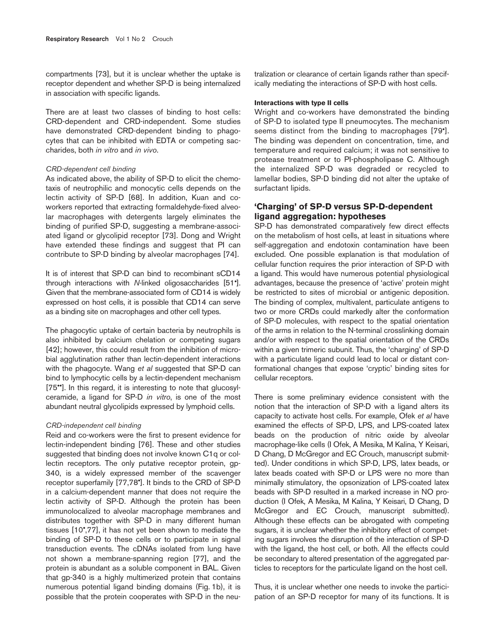compartments [73], but it is unclear whether the uptake is receptor dependent and whether SP-D is being internalized in association with specific ligands.

There are at least two classes of binding to host cells: CRD-dependent and CRD-independent. Some studies have demonstrated CRD-dependent binding to phagocytes that can be inhibited with EDTA or competing saccharides, both *in vitro* and *in vivo*.

#### *CRD-dependent cell binding*

As indicated above, the ability of SP-D to elicit the chemotaxis of neutrophilic and monocytic cells depends on the lectin activity of SP-D [68]. In addition, Kuan and coworkers reported that extracting formaldehyde-fixed alveolar macrophages with detergents largely eliminates the binding of purified SP-D, suggesting a membrane-associated ligand or glycolipid receptor [73]. Dong and Wright have extended these findings and suggest that PI can contribute to SP-D binding by alveolar macrophages [74].

It is of interest that SP-D can bind to recombinant sCD14 through interactions with *N*-linked oligosaccharides [51•]. Given that the membrane-associated form of CD14 is widely expressed on host cells, it is possible that CD14 can serve as a binding site on macrophages and other cell types.

The phagocytic uptake of certain bacteria by neutrophils is also inhibited by calcium chelation or competing sugars [42]; however, this could result from the inhibition of microbial agglutination rather than lectin-dependent interactions with the phagocyte. Wang *et al* suggested that SP-D can bind to lymphocytic cells by a lectin-dependent mechanism [75<sup>••</sup>]. In this regard, it is interesting to note that glucosylceramide, a ligand for SP-D *in vitro*, is one of the most abundant neutral glycolipids expressed by lymphoid cells.

#### *CRD-independent cell binding*

Reid and co-workers were the first to present evidence for lectin-independent binding [76]. These and other studies suggested that binding does not involve known C1q or collectin receptors. The only putative receptor protein, gp-340, is a widely expressed member of the scavenger receptor superfamily [77,78•]. It binds to the CRD of SP-D in a calcium-dependent manner that does not require the lectin activity of SP-D. Although the protein has been immunolocalized to alveolar macrophage membranes and distributes together with SP-D in many different human tissues [10•,77], it has not yet been shown to mediate the binding of SP-D to these cells or to participate in signal transduction events. The cDNAs isolated from lung have not shown a membrane-spanning region [77], and the protein is abundant as a soluble component in BAL. Given that gp-340 is a highly multimerized protein that contains numerous potential ligand binding domains (Fig. 1b), it is possible that the protein cooperates with SP-D in the neutralization or clearance of certain ligands rather than specifically mediating the interactions of SP-D with host cells.

## **Interactions with type II cells**

Wright and co-workers have demonstrated the binding of SP-D to isolated type II pneumocytes. The mechanism seems distinct from the binding to macrophages [79•]. The binding was dependent on concentration, time, and temperature and required calcium; it was not sensitive to protease treatment or to PI-phospholipase C. Although the internalized SP-D was degraded or recycled to lamellar bodies, SP-D binding did not alter the uptake of surfactant lipids.

# **'Charging' of SP-D versus SP-D-dependent ligand aggregation: hypotheses**

SP-D has demonstrated comparatively few direct effects on the metabolism of host cells, at least in situations where self-aggregation and endotoxin contamination have been excluded. One possible explanation is that modulation of cellular function requires the prior interaction of SP-D with a ligand. This would have numerous potential physiological advantages, because the presence of 'active' protein might be restricted to sites of microbial or antigenic deposition. The binding of complex, multivalent, particulate antigens to two or more CRDs could markedly alter the conformation of SP-D molecules, with respect to the spatial orientation of the arms in relation to the N-terminal crosslinking domain and/or with respect to the spatial orientation of the CRDs within a given trimeric subunit. Thus, the 'charging' of SP-D with a particulate ligand could lead to local or distant conformational changes that expose 'cryptic' binding sites for cellular receptors.

There is some preliminary evidence consistent with the notion that the interaction of SP-D with a ligand alters its capacity to activate host cells. For example, Ofek *et al* have examined the effects of SP-D, LPS, and LPS-coated latex beads on the production of nitric oxide by alveolar macrophage-like cells (I Ofek, A Mesika, M Kalina, Y Keisari, D Chang, D McGregor and EC Crouch, manuscript submitted). Under conditions in which SP-D, LPS, latex beads, or latex beads coated with SP-D or LPS were no more than minimally stimulatory, the opsonization of LPS-coated latex beads with SP-D resulted in a marked increase in NO production (I Ofek, A Mesika, M Kalina, Y Keisari, D Chang, D McGregor and EC Crouch, manuscript submitted). Although these effects can be abrogated with competing sugars, it is unclear whether the inhibitory effect of competing sugars involves the disruption of the interaction of SP-D with the ligand, the host cell, or both. All the effects could be secondary to altered presentation of the aggregated particles to receptors for the particulate ligand on the host cell.

Thus, it is unclear whether one needs to invoke the participation of an SP-D receptor for many of its functions. It is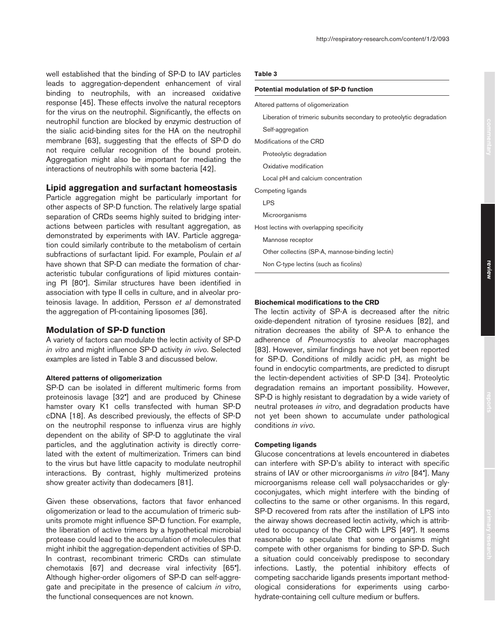well established that the binding of SP-D to IAV particles leads to aggregation-dependent enhancement of viral binding to neutrophils, with an increased oxidative response [45]. These effects involve the natural receptors for the virus on the neutrophil. Significantly, the effects on neutrophil function are blocked by enzymic destruction of the sialic acid-binding sites for the HA on the neutrophil membrane [63], suggesting that the effects of SP-D do not require cellular recognition of the bound protein. Aggregation might also be important for mediating the interactions of neutrophils with some bacteria [42].

# **Lipid aggregation and surfactant homeostasis**

Particle aggregation might be particularly important for other aspects of SP-D function. The relatively large spatial separation of CRDs seems highly suited to bridging interactions between particles with resultant aggregation, as demonstrated by experiments with IAV. Particle aggregation could similarly contribute to the metabolism of certain subfractions of surfactant lipid. For example, Poulain *et al* have shown that SP-D can mediate the formation of characteristic tubular configurations of lipid mixtures containing PI [80•]. Similar structures have been identified in association with type II cells in culture, and in alveolar proteinosis lavage. In addition, Persson *et al* demonstrated the aggregation of PI-containing liposomes [36].

# **Modulation of SP-D function**

A variety of factors can modulate the lectin activity of SP-D *in vitro* and might influence SP-D activity *in vivo*. Selected examples are listed in Table 3 and discussed below.

# **Altered patterns of oligomerization**

SP-D can be isolated in different multimeric forms from proteinosis lavage [32•] and are produced by Chinese hamster ovary K1 cells transfected with human SP-D cDNA [18]. As described previously, the effects of SP-D on the neutrophil response to influenza virus are highly dependent on the ability of SP-D to agglutinate the viral particles, and the agglutination activity is directly correlated with the extent of multimerization. Trimers can bind to the virus but have little capacity to modulate neutrophil interactions. By contrast, highly multimerized proteins show greater activity than dodecamers [81].

Given these observations, factors that favor enhanced oligomerization or lead to the accumulation of trimeric subunits promote might influence SP-D function. For example, the liberation of active trimers by a hypothetical microbial protease could lead to the accumulation of molecules that might inhibit the aggregation-dependent activities of SP-D. In contrast, recombinant trimeric CRDs can stimulate chemotaxis [67] and decrease viral infectivity [65•]. Although higher-order oligomers of SP-D can self-aggregate and precipitate in the presence of calcium *in vitro*, the functional consequences are not known.

## **Table 3**

## **Potential modulation of SP-D function**

| Altered patterns of oligomerization                                  |
|----------------------------------------------------------------------|
| Liberation of trimeric subunits secondary to proteolytic degradation |
| Self-aggregation                                                     |
| Modifications of the CRD                                             |
| Proteolytic degradation                                              |
| Oxidative modification                                               |
| Local pH and calcium concentration                                   |
| Competing ligands                                                    |
| <b>LPS</b>                                                           |
| Microorganisms                                                       |
| Host lectins with overlapping specificity                            |
| Mannose receptor                                                     |
| Other collectins (SP-A, mannose-binding lectin)                      |
| Non C-type lectins (such as ficolins)                                |

## **Biochemical modifications to the CRD**

The lectin activity of SP-A is decreased after the nitric oxide-dependent nitration of tyrosine residues [82], and nitration decreases the ability of SP-A to enhance the adherence of *Pneumocystis* to alveolar macrophages [83]. However, similar findings have not yet been reported for SP-D. Conditions of mildly acidic pH, as might be found in endocytic compartments, are predicted to disrupt the lectin-dependent activities of SP-D [34]. Proteolytic degradation remains an important possibility. However, SP-D is highly resistant to degradation by a wide variety of neutral proteases *in vitro*, and degradation products have not yet been shown to accumulate under pathological conditions *in vivo*.

## **Competing ligands**

Glucose concentrations at levels encountered in diabetes can interfere with SP-D's ability to interact with specific strains of IAV or other microorganisms *in vitro* [84•]. Many microorganisms release cell wall polysaccharides or glycoconjugates, which might interfere with the binding of collectins to the same or other organisms. In this regard, SP-D recovered from rats after the instillation of LPS into the airway shows decreased lectin activity, which is attributed to occupancy of the CRD with LPS [49•]. It seems reasonable to speculate that some organisms might compete with other organisms for binding to SP-D. Such a situation could conceivably predispose to secondary infections. Lastly, the potential inhibitory effects of competing saccharide ligands presents important methodological considerations for experiments using carbohydrate-containing cell culture medium or buffers.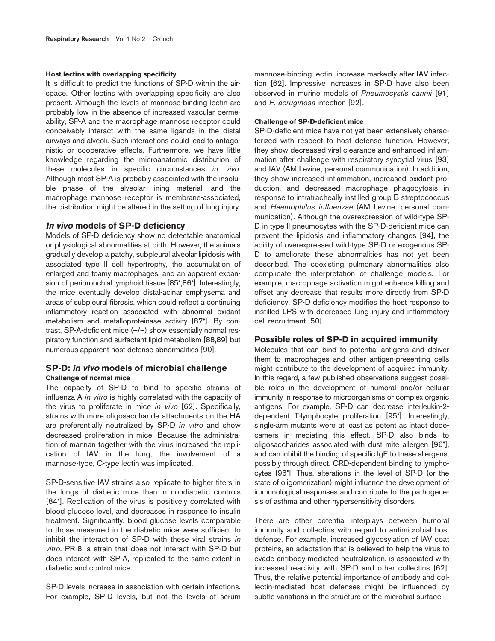#### **Host lectins with overlapping specificity**

It is difficult to predict the functions of SP-D within the airspace. Other lectins with overlapping specificity are also present. Although the levels of mannose-binding lectin are probably low in the absence of increased vascular permeability, SP-A and the macrophage mannose receptor could conceivably interact with the same ligands in the distal airways and alveoli. Such interactions could lead to antagonistic or cooperative effects. Furthermore, we have little knowledge regarding the microanatomic distribution of these molecules in specific circumstances *in vivo*. Although most SP-A is probably associated with the insoluble phase of the alveolar lining material, and the macrophage mannose receptor is membrane-associated, the distribution might be altered in the setting of lung injury.

# **In vivo models of SP-D deficiency**

Models of SP-D deficiency show no detectable anatomical or physiological abnormalities at birth. However, the animals gradually develop a patchy, subpleural alveolar lipidosis with associated type II cell hypertrophy, the accumulation of enlarged and foamy macrophages, and an apparent expansion of peribronchial lymphoid tissue [85•,86•]. Interestingly, the mice eventually develop distal-acinar emphysema and areas of subpleural fibrosis, which could reflect a continuing inflammatory reaction associated with abnormal oxidant metabolism and metalloproteinase activity [87•]. By contrast, SP-A-deficient mice (–/–) show essentially normal respiratory function and surfactant lipid metabolism [88,89] but numerous apparent host defense abnormalities [90].

# **SP-D: in vivo models of microbial challenge Challenge of normal mice**

The capacity of SP-D to bind to specific strains of influenza A *in vitro* is highly correlated with the capacity of the virus to proliferate in mice *in vivo* [62]. Specifically, strains with more oligosaccharide attachments on the HA are preferentially neutralized by SP-D *in vitro* and show decreased proliferation in mice. Because the administration of mannan together with the virus increased the replication of IAV in the lung, the involvement of a mannose-type, C-type lectin was implicated.

SP-D-sensitive IAV strains also replicate to higher titers in the lungs of diabetic mice than in nondiabetic controls [84•]. Replication of the virus is positively correlated with blood glucose level, and decreases in response to insulin treatment. Significantly, blood glucose levels comparable to those measured in the diabetic mice were sufficient to inhibit the interaction of SP-D with these viral strains *in vitro*. PR-8, a strain that does not interact with SP-D but does interact with SP-A, replicated to the same extent in diabetic and control mice.

SP-D levels increase in association with certain infections. For example, SP-D levels, but not the levels of serum mannose-binding lectin, increase markedly after IAV infection [62]. Impressive increases in SP-D have also been observed in murine models of *Pneumocystis carinii* [91] and *P. aeruginosa* infection [92].

# **Challenge of SP-D-deficient mice**

SP-D-deficient mice have not yet been extensively characterized with respect to host defense function. However, they show decreased viral clearance and enhanced inflammation after challenge with respiratory syncytial virus [93] and IAV (AM Levine, personal communication). In addition, they show increased inflammation, increased oxidant production, and decreased macrophage phagocytosis in response to intratracheally instilled group B streptococcus and *Haemophilus influenzae* (AM Levine, personal communication). Although the overexpression of wild-type SP-D in type II pneumocytes with the SP-D-deficient mice can prevent the lipidosis and inflammatory changes [94], the ability of overexpressed wild-type SP-D or exogenous SP-D to ameliorate these abnormalities has not yet been described. The coexisting pulmonary abnormalities also complicate the interpretation of challenge models. For example, macrophage activation might enhance killing and offset any decrease that results more directly from SP-D deficiency. SP-D deficiency modifies the host response to instilled LPS with decreased lung injury and inflammatory cell recruitment [50].

# **Possible roles of SP-D in acquired immunity**

Molecules that can bind to potential antigens and deliver them to macrophages and other antigen-presenting cells might contribute to the development of acquired immunity. In this regard, a few published observations suggest possible roles in the development of humoral and/or cellular immunity in response to microorganisms or complex organic antigens. For example, SP-D can decrease interleukin-2 dependent T-lymphocyte proliferation [95•]. Interestingly, single-arm mutants were at least as potent as intact dodecamers in mediating this effect. SP-D also binds to oligosaccharides associated with dust mite allergen [96•], and can inhibit the binding of specific IgE to these allergens, possibly through direct, CRD-dependent binding to lymphocytes [96•]. Thus, alterations in the level of SP-D (or the state of oligomerization) might influence the development of immunological responses and contribute to the pathogenesis of asthma and other hypersensitivity disorders.

There are other potential interplays between humoral immunity and collectins with regard to antimicrobial host defense. For example, increased glycosylation of IAV coat proteins, an adaptation that is believed to help the virus to evade antibody-mediated neutralization, is associated with increased reactivity with SP-D and other collectins [62]. Thus, the relative potential importance of antibody and collectin-mediated host defenses might be influenced by subtle variations in the structure of the microbial surface.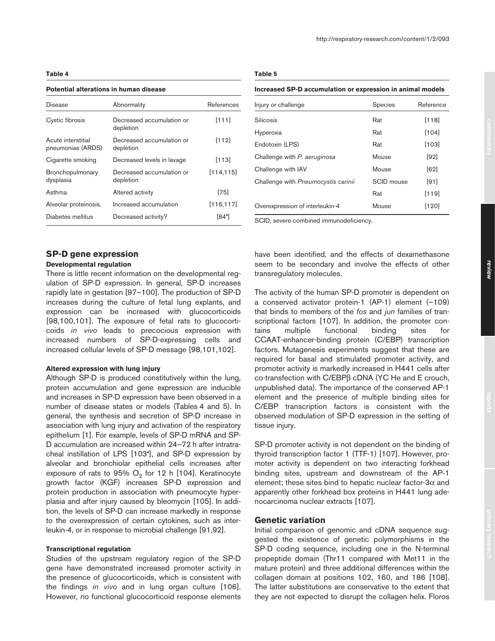#### **Potential alterations in human disease**

| Disease                                 | Abnormality                            | References |
|-----------------------------------------|----------------------------------------|------------|
| Cystic fibrosis                         | Decreased accumulation or<br>depletion | [111]      |
| Acute interstitial<br>pneumonias (ARDS) | Decreased accumulation or<br>depletion | [112]      |
| Cigarette smoking                       | Decreased levels in lavage             | [113]      |
| Bronchopulmonary<br>dysplasia           | Decreased accumulation or<br>depletion | [114, 115] |
| Asthma                                  | Altered activity                       | [75]       |
| Alveolar proteinosis.                   | Increased accumulation                 | [116, 117] |
| Diabetes mellitus                       | Decreased activity?                    | [84]       |

# **SP-D gene expression**

# **Developmental regulation**

There is little recent information on the developmental regulation of SP-D expression. In general, SP-D increases rapidly late in gestation [97–100]. The production of SP-D increases during the culture of fetal lung explants, and expression can be increased with glucocorticoids [98,100,101]. The exposure of fetal rats to glucocorticoids *in vivo* leads to precocious expression with increased numbers of SP-D-expressing cells and increased cellular levels of SP-D message [98,101,102].

# **Altered expression with lung injury**

Although SP-D is produced constitutively within the lung, protein accumulation and gene expression are inducible and increases in SP-D expression have been observed in a number of disease states or models (Tables 4 and 5). In general, the synthesis and secretion of SP-D increase in association with lung injury and activation of the respiratory epithelium [1]. For example, levels of SP-D mRNA and SP-D accumulation are increased within 24–72 h after intratracheal instillation of LPS [103•], and SP-D expression by alveolar and bronchiolar epithelial cells increases after exposure of rats to 95%  $O<sub>2</sub>$  for 12 h [104]. Keratinocyte growth factor (KGF) increases SP-D expression and protein production in association with pneumocyte hyperplasia and after injury caused by bleomycin [105]. In addition, the levels of SP-D can increase markedly in response to the overexpression of certain cytokines, such as interleukin-4, or in response to microbial challenge [91,92].

## **Transcriptional regulation**

Studies of the upstream regulatory region of the SP-D gene have demonstrated increased promoter activity in the presence of glucocorticoids, which is consistent with the findings *in vivo* and in lung organ culture [106]. However, no functional glucocorticoid response elements

## **Table 5**

#### **Increased SP-D accumulation or expression in animal models**

| Injury or challenge                 | Species    | Reference |
|-------------------------------------|------------|-----------|
| Silicosis                           | Rat        | [118]     |
| Hyperoxia                           | Rat        | [104]     |
| Endotoxin (LPS)                     | Rat        | $[103]$   |
| Challenge with P. aeruginosa        | Mouse      | [92]      |
| Challenge with IAV                  | Mouse      | [62]      |
| Challenge with Pneumocystis carinii | SCID mouse | [91]      |
|                                     | Rat        | [119]     |
| Overexpression of interleukin-4     | Mouse      | [120]     |

SCID, severe combined immunodeficiency.

have been identified, and the effects of dexamethasone seem to be secondary and involve the effects of other transregulatory molecules.

The activity of the human SP-D promoter is dependent on a conserved activator protein-1 (AP-1) element (–109) that binds to members of the *fos* and *jun* families of transcriptional factors [107]. In addition, the promoter contains multiple functional binding sites for CCAAT-enhancer-binding protein (C/EBP) transcription factors. Mutagenesis experiments suggest that these are required for basal and stimulated promoter activity, and promoter activity is markedly increased in H441 cells after co-transfection with C/EBPβ cDNA (YC He and E crouch, unpublished data). The importance of the conserved AP-1 element and the presence of multiple binding sites for C/EBP transcription factors is consistent with the observed modulation of SP-D expression in the setting of tissue injury.

SP-D promoter activity is not dependent on the binding of thyroid transcription factor 1 (TTF-1) [107]. However, promoter activity is dependent on two interacting forkhead binding sites, upstream and downstream of the AP-1 element; these sites bind to hepatic nuclear factor-3 $\alpha$  and apparently other forkhead box proteins in H441 lung adenocarcinoma nuclear extracts [107].

# **Genetic variation**

Initial comparison of genomic and cDNA sequence suggested the existence of genetic polymorphisms in the SP-D coding sequence, including one in the N-terminal propeptide domain (Thr11 compared with Met11 in the mature protein) and three additional differences within the collagen domain at positions 102, 160, and 186 [108]. The latter substitutions are conservative to the extent that they are not expected to disrupt the collagen helix. Floros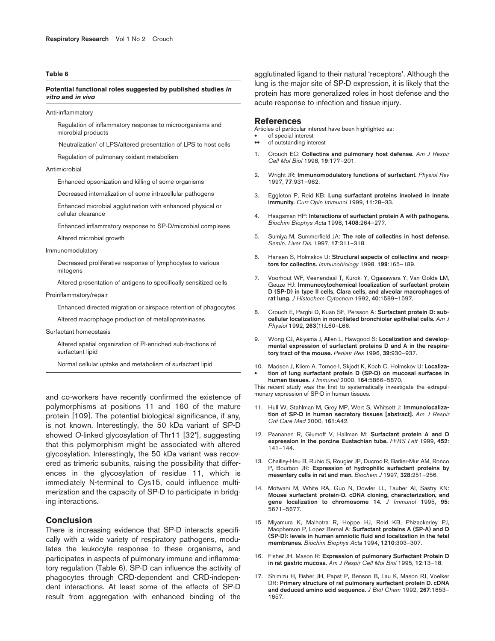## **Potential functional roles suggested by published studies in vitro and in vivo**

Anti-inflammatory

Regulation of inflammatory response to microorganisms and microbial products

'Neutralization' of LPS/altered presentation of LPS to host cells

Regulation of pulmonary oxidant metabolism

#### Antimicrobial

Enhanced opsonization and killing of some organisms

Decreased internalization of some intracellular pathogens

Enhanced microbial agglutination with enhanced physical or cellular clearance

Enhanced inflammatory response to SP-D/microbial complexes

Altered microbial growth

#### Immunomodulatory

Decreased proliferative response of lymphocytes to various mitogens

Altered presentation of antigens to specifically sensitized cells

#### Proinflammatory/repair

Enhanced directed migration or airspace retention of phagocytes

Altered macrophage production of metalloproteinases

#### Surfactant homeostasis

Altered spatial organization of PI-enriched sub-fractions of surfactant lipid

Normal cellular uptake and metabolism of surfactant lipid

and co-workers have recently confirmed the existence of polymorphisms at positions 11 and 160 of the mature protein [109]. The potential biological significance, if any, is not known. Interestingly, the 50 kDa variant of SP-D showed *O*-linked glycosylation of Thr11 [32•], suggesting that this polymorphism might be associated with altered glycosylation. Interestingly, the 50 kDa variant was recovered as trimeric subunits, raising the possibility that differences in the glycosylation of residue 11, which is immediately N-terminal to Cys15, could influence multimerization and the capacity of SP-D to participate in bridging interactions.

# **Conclusion**

There is increasing evidence that SP-D interacts specifically with a wide variety of respiratory pathogens, modulates the leukocyte response to these organisms, and participates in aspects of pulmonary immune and inflammatory regulation (Table 6). SP-D can influence the activity of phagocytes through CRD-dependent and CRD-independent interactions. At least some of the effects of SP-D result from aggregation with enhanced binding of the

agglutinated ligand to their natural 'receptors'. Although the lung is the major site of SP-D expression, it is likely that the protein has more generalized roles in host defense and the acute response to infection and tissue injury.

## **References**

Articles of particular interest have been highlighted as:

- of special interest of outstanding interest
- 
- 1. Crouch EC: **Collectins and pulmonary host defense.** *Am J Respir Cell Mol Biol* 1998, **19**:177–201.
- 2. Wright JR: **Immunomodulatory functions of surfactant.** *Physiol Rev* 1997, **77**:931–962.
- 3. Eggleton P, Reid KB: **Lung surfactant proteins involved in innate immunity.** *Curr Opin Immunol* 1999, **11**:28–33.
- 4. Haagsman HP: **Interactions of surfactant protein A with pathogens.** *Biochim Biophys Acta* 1998, **1408**:264–277.
- 5. Sumiya M, Summerfield JA: **The role of collectins in host defense.** *Semin. Liver Dis.* 1997, **17**:311–318.
- 6. Hansen S, Holmskov U: **Structural aspects of collectins and receptors for collectins.** *Immunobiology* 1998, **199**:165–189.
- 7. Voorhout WF, Veenendaal T, Kuroki Y, Ogasawara Y, Van Golde LM, Geuze HJ: **Immunocytochemical localization of surfactant protein D (SP-D) in type II cells, Clara cells, and alveolar macrophages of rat lung.** *J Histochem Cytochem* 1992, **40**:1589–1597.
- 8. Crouch E, Parghi D, Kuan SF, Persson A: **Surfactant protein D: subcellular localization in nonciliated bronchiolar epithelial cells.** *Am J Physiol* 1992, **263**(1):L60–L66.
- 9. Wong CJ, Akiyama J, Allen L, Hawgood S: **Localization and developmental expression of surfactant proteins D and A in the respiratory tract of the mouse.** *Pediatr Res* 1996, **39**:930–937.
- 10. Madsen J, Kliem A, Tornoe I, Skjodt K, Koch C, Holmskov U: **Localiza-** • **tion of lung surfactant protein D (SP-D) on mucosal surfaces in human tissues.** *J Immunol* 2000, **164**:5866–5870.

This recent study was the first to systematically investigate the extrapulmonary expression of SP-D in human tissues.

- 11. Hull W, Stahlman M, Grey MP, Wert S, Whitsett J: **Immunolocalization of SP-D in human secretory tissues [abstract].** *Am J Respir Crit Care Med* 2000, **161**:A42.
- 12. Paananen R, Glumoff V, Hallman M: **Surfactant protein A and D expression in the porcine Eustachian tube.** *FEBS Lett* 1999, **452**: 141–144.
- 13. Chailley-Heu B, Rubio S, Rougier JP, Ducroc R, Barlier-Mur AM, Ronco P, Bourbon JR: **Expression of hydrophilic surfactant proteins by mesentery cells in rat and man.** *Biochem J* 1997, **328**:251–256.
- 14. Motwani M, White RA, Guo N, Dowler LL, Tauber AI, Sastry KN: **Mouse surfactant protein-D. cDNA cloning, characterization, and gene localization to chromosome 14.** *J Immunol* 1995, **95**: 5671–5677.
- 15. Miyamura K, Malhotra R, Hoppe HJ, Reid KB, Phizackerley PJ, Macpherson P, Lopez Bernal A: **Surfactant proteins A (SP-A) and D (SP-D): levels in human amniotic fluid and localization in the fetal membranes.** *Biochim Biophys Acta* 1994, **1210**:303–307.
- 16. Fisher JH, Mason R: **Expression of pulmonary Surfactant Protein D in rat gastric mucosa.** *Am J Respir Cell Mol Biol* 1995, **12**:13–18.
- 17. Shimizu H, Fisher JH, Papst P, Benson B, Lau K, Mason RJ, Voelker DR: **Primary structure of rat pulmonary surfactant protein D. cDNA and deduced amino acid sequence.** *J Biol Chem* 1992, **267**:1853– 1857.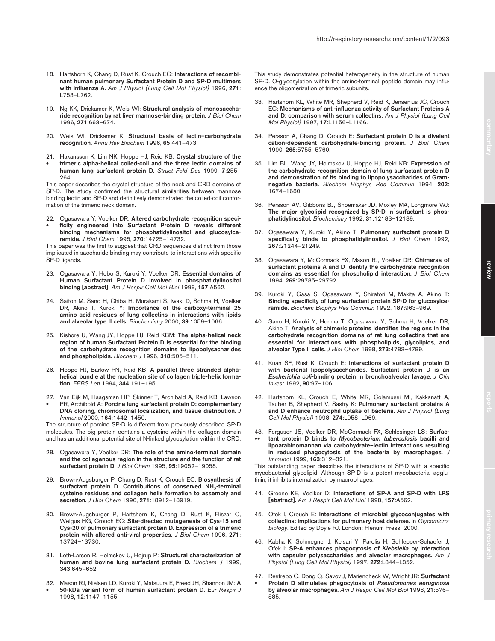- 18. Hartshorn K, Chang D, Rust K, Crouch EC: **Interactions of recombinant human pulmonary Surfactant Protein D and SP-D multimers with influenza A.** *Am J Physiol (Lung Cell Mol Physiol)* 1996, **271**: L753–L762.
- 19. Ng KK, Drickamer K, Weis WI: **Structural analysis of monosaccharide recognition by rat liver mannose-binding protein.** *J Biol Chem* 1996, **271**:663–674.
- 20. Weis WI, Drickamer K: **Structural basis of lectin–carbohydrate recognition.** *Annu Rev Biochem* 1996, **65**:441–473.
- 21. Hakansson K, Lim NK, Hoppe HJ, Reid KB: **Crystal structure of the**
- **trimeric alpha-helical coiled-coil and the three lectin domains of human lung surfactant protein D.** *Struct Fold Des* 1999, **7**:255– 264.

This paper describes the crystal structure of the neck and CRD domains of SP-D. The study confirmed the structural similarities between mannose binding lectin and SP-D and definitively demonstrated the coiled-coil conformation of the trimeric neck domain.

22. Ogasawara Y, Voelker DR: **Altered carbohydrate recognition speci-** • **ficity engineered into Surfactant Protein D reveals different binding mechanisms for phosphatidylinositol and glucosylceramide.** *J Biol Chem* 1995, **270**:14725–14732.

This paper was the first to suggest that CRD sequences distinct from those implicated in saccharide binding may contribute to interactions with specific SP-D ligands.

- 23. Ogasawara Y, Hobo S, Kuroki Y, Voelker DR: **Essential domains of Human Surfactant Protein D involved in phosphatidylinositol binding [abstract].** *Am J Respir Cell Mol Biol* 1998, **157**:A562.
- 24. Saitoh M, Sano H, Chiba H, Murakami S, Iwaki D, Sohma H, Voelker DR, Akino T, Kuroki Y: **Importance of the carboxy-terminal 25 amino acid residues of lung collectins in interactions with lipids and alveolar type II cells.** *Biochemistry* 2000, **39**:1059–1066.
- 25. Kishore U, Wang JY, Hoppe HJ, Reid KBM: **The alpha-helical neck region of human Surfactant Protein D is essential for the binding of the carbohydrate recognition domains to lipopolysacharides and phospholipids.** *Biochem J* 1996, **318**:505–511.
- 26. Hoppe HJ, Barlow PN, Reid KB: **A parallel three stranded alphahelical bundle at the nucleation site of collagen triple-helix formation.** *FEBS Lett* 1994, **344**:191–195.
- 27. Van Eijk M, Haagsman HP, Skinner T, Archibald A, Reid KB, Lawson • PR, Archibold A: **Porcine lung surfactant protein D: complementary DNA cloning, chromosomal localization, and tissue distribution.** *J Immunol* 2000, **164**:1442–1450.

The structure of porcine SP-D is different from previously described SP-D molecules. The pig protein contains a cysteine within the collagen domain and has an additional potential site of N-linked glycosylation within the CRD.

- 28. Ogasawara Y, Voelker DR: **The role of the amino-terminal domain and the collagenous region in the structure and the function of rat surfactant protein D.** *J Biol Chem* 1995, **95**:19052–19058.
- 29. Brown-Augsburger P, Chang D, Rust K, Crouch EC: **Biosynthesis of** surfactant protein D. Contributions of conserved NH<sub>2</sub>-terminal **cysteine residues and collagen helix formation to assembly and secretion.** *J Biol Chem* 1996, **271**:18912–18919.
- 30. Brown-Augsburger P, Hartshorn K, Chang D, Rust K, Fliszar C, Welgus HG, Crouch EC: **Site-directed mutagenesis of Cys-15 and Cys-20 of pulmonary surfactant protein D. Expression of a trimeric protein with altered anti-viral properties.** *J Biol Chem* 1996, **271**: 13724–13730.
- 31. Leth-Larsen R, Holmskov U, Hojrup P: **Structural characterization of human and bovine lung surfactant protein D.** *Biochem J* 1999, **343**:645–652.
- 32. Mason RJ, Nielsen LD, Kuroki Y, Matsuura E, Freed JH, Shannon JM: **A**  • **50-kDa variant form of human surfactant protein D.** *Eur Respir J*

1998, **12**:1147–1155.

- This study demonstrates potential heterogeneity in the structure of human SP-D. O-glycosylation within the amino-terminal peptide domain may influence the oligomerization of trimeric subunits.
- Hartshorn KL, White MR, Shepherd V, Reid K, Jensenius JC, Crouch EC: **Mechanisms of anti-influenza activity of Surfactant Proteins A and D: comparison with serum collectins.** *Am J Physiol (Lung Cell Mol Physiol)* 1997, **17**:L1156–L1166.
- 34. Persson A, Chang D, Crouch E: **Surfactant protein D is a divalent cation-dependent carbohydrate-binding protein.** *J Biol Chem* 1990, **265**:5755–5760.
- 35. Lim BL, Wang JY, Holmskov U, Hoppe HJ, Reid KB: **Expression of the carbohydrate recognition domain of lung surfactant protein D and demonstration of its binding to lipopolysaccharides of Gramnegative bacteria.** *Biochem Biophys Res Commun* 1994, **202**: 1674–1680.
- 36. Persson AV, Gibbons BJ, Shoemaker JD, Moxley MA, Longmore WJ: **The major glycolipid recognized by SP-D in surfactant is phosphatidylinositol.** *Biochemistry* 1992, **31**:12183–12189.
- 37. Ogasawara Y, Kuroki Y, Akino T: **Pulmonary surfactant protein D specifically binds to phosphatidylinositol.** *J Biol Chem* 1992, **267**:21244–21249.
- 38. Ogasawara Y, McCormack FX, Mason RJ, Voelker DR: **Chimeras of surfactant proteins A and D identify the carbohydrate recognition domains as essential for phospholipid interaction.** *J Biol Chem* 1994, **269**:29785–29792.
- 39. Kuroki Y, Gasa S, Ogasawara Y, Shiratori M, Makita A, Akino T: **Binding specificity of lung surfactant protein SP-D for glucosylceramide.** *Biochem Biophys Res Commun* 1992, **187**:963–969.
- 40. Sano H, Kuroki Y, Honma T, Ogasawara Y, Sohma H, Voelker DR, Akino T: **Analysis of chimeric proteins identifies the regions in the carbohydrate recognition domains of rat lung collectins that are essential for interactions with phospholipids, glycolipids, and alveolar Type II cells.** *J Biol Chem* 1998, **273**:4783–4789.
- 41. Kuan SF, Rust K, Crouch E: **Interactions of surfactant protein D with bacterial lipopolysaccharides. Surfactant protein D is an** *Escherichia coli***-binding protein in bronchoalveolar lavage.** *J Clin Invest* 1992, **90**:97–106.
- 42. Hartshorn KL, Crouch E, White MR, Colamussi MI, Kakkanatt A, Tauber B, Shepherd V, Sastry K: **Pulmonary surfactant proteins A and D enhance neutrophil uptake of bacteria.** *Am J Physiol (Lung Cell Mol Physiol)* 1998, **274**:L958–L969.
- 43. Ferguson JS, Voelker DR, McCormack FX, Schlesinger LS: **Surfac-**
- •• **tant protein D binds to** *Mycobacterium tuberculosis* **bacilli and lipoarabinomannan via carbohydrate–lectin interactions resulting**  in reduced phagocytosis of the bacteria by macrophages. *Immunol* 1999, **163**:312–321.

This outstanding paper describes the interactions of SP-D with a specific mycobacterial glycolipid. Although SP-D is a potent mycobacterial agglutinin, it inhibits internalization by macrophages.

- 44. Greene KE, Voelker D: **Interactions of SP-A and SP-D with LPS [abstract].** *Am J Respir Cell Mol Biol* 1998, **157**:A562.
- 45. Ofek I, Crouch E: **Interactions of microbial glycoconjugates with collectins: implications for pulmonary host defense.** In *Glycomicrobiology*. Edited by Doyle RJ. London: Plenum Press; 2000.
- 46. Kabha K, Schmegner J, Keisari Y, Parolis H, Schlepper-Schaefer J, Ofek I: **SP-A enhances phagocytosis of** *Klebsiella* **by interaction with capsular polysaccharides and alveolar macrophages.** *Am J Physiol (Lung Cell Mol Physiol)* 1997, **272**:L344–L352.
- 47. Restrepo C, Dong Q, Savov J, Mariencheck W, Wright JR: **Surfactant**  • **Protein D stimulates phagocytosis of** *Pseudomonas aeruginosa*  **by alveolar macrophages.** *Am J Respir Cell Mol Biol* 1998, **21**:576– 585.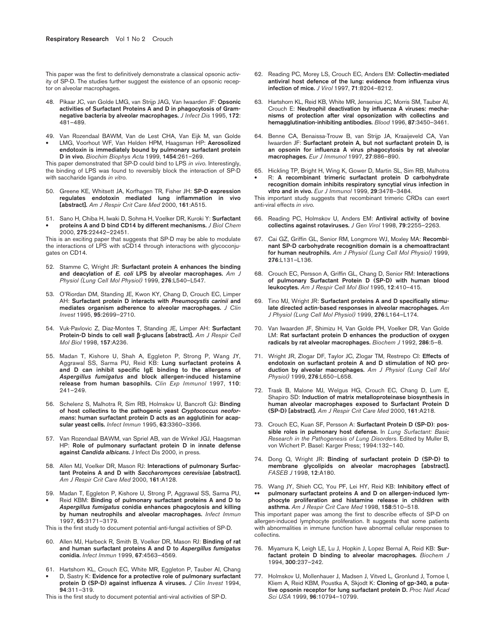This paper was the first to definitively demonstrate a classical opsonic activity of SP-D. The studies further suggest the existence of an opsonic receptor on alveolar macrophages.

- 48. Pikaar JC, van Golde LMG, van Strijp JAG, Van Iwaarden JF: **Opsonic activities of Surfactant Proteins A and D in phagocytosis of Gramnegative bacteria by alveolar macrophages.** *J Infect Dis* 1995, **172**: 481–489.
- 49. Van Rozendaal BAWM, Van de Lest CHA, Van Eijk M, van Golde
- LMG, Voorhout WF, Van Helden HPM, Haagsman HP: **Aerosolized endotoxin is immediately bound by pulmonary surfactant protein D in vivo.** *Biochim Biophys Acta* 1999, **1454**:261–269.

This paper demonstrated that SP-D could bind to LPS *in vivo*. Interestingly, the binding of LPS was found to reversibly block the interaction of SP-D with saccharide ligands *in vitro*.

- 50. Greene KE, Whitsett JA, Korfhagen TR, Fisher JH: **SP-D expression regulates endotoxin mediated lung inflammation in vivo [abstract].** *Am J Respir Crit Care Med* 2000, **161**:A515.
- 51. Sano H, Chiba H, Iwaki D, Sohma H, Voelker DR, Kuroki Y: **Surfactant**  • **proteins A and D bind CD14 by different mechanisms.** *J Biol Chem* 2000, **275**:22442–22451.

This is an exciting paper that suggests that SP-D may be able to modulate the interactions of LPS with sCD14 through interactions with glycoconjugates on CD14.

- 52. Stamme C, Wright JR: **Surfactant protein A enhances the binding and deacylation of** *E. coli* **LPS by alveolar macrophages.** *Am J Physiol (Lung Cell Mol Physiol)* 1999, **276**:L540–L547.
- 53. O'Riordan DM, Standing JE, Kwon KY, Chang D, Crouch EC, Limper AH: **Surfactant protein D interacts with** *Pneumocystis carinii* **and mediates organism adherence to alveolar macrophages.** *J Clin Invest* 1995, **95**:2699–2710.
- 54. Vuk-Pavlovic Z, Diaz-Montes T, Standing JE, Limper AH: **Surfactant Protein-D binds to cell wall** β**-glucans [abstract].** *Am J Respir Cell Mol Biol* 1998, **157**:A236.
- 55. Madan T, Kishore U, Shah A, Eggleton P, Strong P, Wang JY, Aggrawal SS, Sarma PU, Reid KB: **Lung surfactant proteins A and D can inhibit specific IgE binding to the allergens of** *Aspergillus fumigatus* **and block allergen-induced histamine release from human basophils.** *Clin Exp Immunol* 1997, **110**: 241–249.
- 56. Schelenz S, Malhotra R, Sim RB, Holmskov U, Bancroft GJ: **Binding of host collectins to the pathogenic yeast** *Cryptococcus neoformans***: human surfactant protein D acts as an agglutinin for acapsular yeast cells.** *Infect Immun* 1995, **63**:3360–3366.
- 57. Van Rozendaal BAWM, van Spriel AB, van de Winkel JGJ, Haagsman HP: **Role of pulmonary surfactant protein D in innate defense against** *Candida albicans***.** J Infect Dis 2000, in press.
- 58. Allen MJ, Voelker DR, Mason RJ: **Interactions of pulmonary Surfactant Proteins A and D with** *Saccharomyces cerevisiae* **[abstract].** *Am J Respir Crit Care Med* 2000, **161**:A128.
- 59. Madan T, Eggleton P, Kishore U, Strong P, Aggrawal SS, Sarma PU,
- Reid KBM: **Binding of pulmonary surfactant proteins A and D to**  *Aspergillus fumigatus* **conidia enhances phagocytosis and killing by human neutrophils and alveolar macrophages.** *Infect Immun* 1997, **65**:3171–3179.
- This is the first study to document potential anti-fungal activities of SP-D.
- 60. Allen MJ, Harbeck R, Smith B, Voelker DR, Mason RJ: **Binding of rat and human surfactant proteins A and D to** *Aspergillus fumigatus* **conidia.** *Infect Immun* 1999, **67**:4563–4569.
- 61. Hartshorn KL, Crouch EC, White MR, Eggleton P, Tauber AI, Chang
- D, Sastry K: **Evidence for a protective role of pulmonary surfactant protein D (SP-D) against influenza A viruses.** *J Clin Invest* 1994, **94**:311–319.
- This is the first study to document potential anti-viral activities of SP-D.
- 62. Reading PC, Morey LS, Crouch EC, Anders EM: **Collectin-mediated antiviral host defence of the lung: evidence from influenza virus infection of mice.** *J Virol* 1997, **71**:8204–8212.
- 63. Hartshorn KL, Reid KB, White MR, Jensenius JC, Morris SM, Tauber AI, Crouch E: **Neutrophil deactivation by influenza A viruses: mechanisms of protection after viral opsonization with collectins and hemagglutination-inhibiting antibodies.** *Blood* 1996, **87**:3450–3461.
- 64. Benne CA, Benaissa-Trouw B, van Strijp JA, Kraaijeveld CA, Van Iwaarden JF: **Surfactant protein A, but not surfactant protein D, is an opsonin for influenza A virus phagocytosis by rat alveolar macrophages.** *Eur J Immunol* 1997, **27**:886–890.
- 65. Hickling TP, Bright H, Wing K, Gower D, Martin SL, Sim RB, Malhotra • R: **A recombinant trimeric surfactant protein D carbohydrate recognition domain inhibits respiratory syncytial virus infection in vitro and in vivo.** *Eur J Immunol* 1999, **29**:3478–3484.

This important study suggests that recombinant trimeric CRDs can exert anti-viral effects *in vivo*.

- 66. Reading PC, Holmskov U, Anders EM: **Antiviral activity of bovine collectins against rotaviruses.** *J Gen Virol* 1998, **79**:2255–2263.
- 67. Cai GZ, Griffin GL, Senior RM, Longmore WJ, Moxley MA: **Recombinant SP-D carbohydrate recognition domain is a chemoattractant for human neutrophils.** *Am J Physiol (Lung Cell Mol Physiol)* 1999, **276**:L131–L136.
- 68. Crouch EC, Persson A, Griffin GL, Chang D, Senior RM: **Interactions of pulmonary Surfactant Protein D (SP-D) with human blood leukocytes.** *Am J Respir Cell Mol Biol* 1995, **12**:410–415.
- 69. Tino MJ, Wright JR: **Surfactant proteins A and D specifically stimulate directed actin-based responses in alveolar macrophages.** *Am J Physiol (Lung Cell Mol Physiol)* 1999, **276**:L164–L174.
- 70. Van Iwaarden JF, Shimizu H, Van Golde PH, Voelker DR, Van Golde LM: **Rat surfactant protein D enhances the production of oxygen radicals by rat alveolar macrophages.** *Biochem J* 1992, **286**:5–8.
- 71. Wright JR, Zlogar DF, Taylor JC, Zlogar TM, Restrepo CI: **Effects of endotoxin on surfactant protein A and D stimulation of NO production by alveolar macrophages.** *Am J Physiol (Lung Cell Mol Physiol)* 1999, **276**:L650–L658.
- 72. Trask B, Malone MJ, Welgus HG, Crouch EC, Chang D, Lum E, Shapiro SD: **Induction of matrix metalloproteinase biosynthesis in human alveolar macrophages exposed to Surfactant Protein D (SP-D) [abstract].** *Am J Respir Crit Care Med* 2000, **161**:A218.
- 73. Crouch EC, Kuan SF, Persson A: **Surfactant Protein D (SP-D)**: **possible roles in pulmonary host defense.** In *Lung Surfactant: Basic Research in the Pathogenesis of Lung Disorders*. Edited by Muller B, von Wichert P. Basel: Karger Press; 1994:132–140.
- 74. Dong Q, Wright JR: **Binding of surfactant protein D (SP-D) to membrane glycolipids on alveolar macrophages [abstract].** *FASEB J* 1998, **12**:A180.
- 75. Wang JY, Shieh CC, You PF, Lei HY, Reid KB: **Inhibitory effect of**  pulmonary surfactant proteins A and D on allergen-induced lym**phocyte proliferation and histamine release in children with asthma.** *Am J Respir Crit Care Med* 1998, **158**:510–518.

This important paper was among the first to describe effects of SP-D on allergen-induced lymphocyte proliferation. It suggests that some patients with abnormalities in immune function have abnormal cellular responses to collectins.

- 76. Miyamura K, Leigh LE, Lu J, Hopkin J, Lopez Bernal A, Reid KB: **Surfactant protein D binding to alveolar macrophages.** *Biochem J* 1994, **300**:237–242.
- 77. Holmskov U, Mollenhauer J, Madsen J, Vitved L, Gronlund J, Tornoe I, Kliem A, Reid KBM, Poustka A, Skjodt K: **Cloning of gp-340, a putative opsonin receptor for lung surfactant protein D.** *Proc Natl Acad Sci USA* 1999, **96**:10794–10799.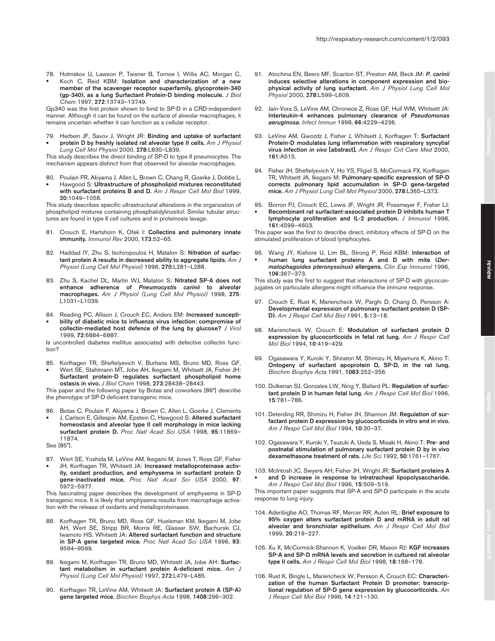- 91. Atochina EN, Beers MF, Scanlon ST, Preston AM, Beck JM: *P. carinii* **induces selective alterations in component expression and biophysical activity of lung surfactant.** *Am J Physiol Lung Cell Mol Physiol* 2000, **278**:L599–L609.
- 92. Jain-Vora S, LeVine AM, Chroneos Z, Ross GF, Hull WM, Whitsett JA: **Interleukin-4 enhances pulmonary clearance of** *Pseudomonas aeruginosa***.** *Infect Immun* 1998, **66**:4229–4236.
- 93. LeVine AM, Gwozdz J, Fisher J, Whitsett J, Korfhagen T: **Surfactant Protein-D modulates lung inflammation with respiratory syncytial virus infection** *in vivo* **[abstract].** *Am J Respir Crit Care Med* 2000, **161**:A515.
- 94. Fisher JH, Sheftelyevich V, Ho YS, Fligiel S, McCormack FX, Korfhagen TR, Whitsett JA, Ikegami M: **Pulmonary-specific expression of SP-D corrects pulmonary lipid accumulation in SP-D gene-targeted mice.** *Am J Physiol Lung Cell Mol Physiol* 2000, **278**:L365–L373.
- 95. Borron PJ, Crouch EC, Lewis JF, Wright JR, Possmayer F, Fraher LJ: • **Recombinant rat surfactant-associated protein D inhibits human T lymphocyte proliferation and IL-2 production.** *J Immunol* 1998, **161**:4599–4603.

This paper was the first to describe direct, inhibitory effects of SP-D on the stimulated proliferation of blood lymphocytes.

96. Wang JY, Kishore U, Lim BL, Strong P, Reid KBM: **Interaction of**  • **human lung surfactant proteins A and D with mite (***Dermatophagoides pteronyssinus***) allergens.** *Clin Exp Immunol* 1996, **106**:367–373.

This study was the first to suggest that interactions of SP-D with glycoconjugates on particulate allergens might influence the immune response.

- 97. Crouch E, Rust K, Mariencheck W, Parghi D, Chang D, Persson A: **Developmental expression of pulmonary surfactant protein D (SP-D).** *Am J Respir Cell Mol Biol* 1991, **5**:13–18.
- 98. Mariencheck W, Crouch E: **Modulation of surfactant protein D expression by glucocorticoids in fetal rat lung.** *Am J Respir Cell Mol Biol* 1994, **10**:419–429.
- 99. Ogasawara Y, Kuroki Y, Shiratori M, Shimizu H, Miyamura K, Akino T: **Ontogeny of surfactant apoprotein D, SP-D, in the rat lung.** *Biochim Biophys Acta* 1991, **1083**:252–256.
- 100. Dulkerian SJ, Gonzales LW, Ning Y, Ballard PL: **Regulation of surfactant protein D in human fetal lung.** *Am J Respir Cell Mol Biol* 1996, **15**:781–786.
- 101. Deterding RR, Shimizu H, Fisher JH, Shannon JM: **Regulation of surfactant protein D expression by glucocorticoids in vitro and in vivo.** *Am J Respir Cell Mol Biol* 1994, **10**:30–37.
- 102. Ogasawara Y, Kuroki Y, Tsuzuki A, Ueda S, Misaki H, Akino T: **Pre- and postnatal stimulation of pulmonary surfactant protein D by in vivo dexamethasone treatment of rats.** *Life Sci* 1992, **50**:1761–1767.
- 103. McIntosh JC, Swyers AH, Fisher JH, Wright JR: **Surfactant proteins A** • **and D increase in response to intratracheal lipopolysaccharide.** *Am J Respir Cell Mol Biol* 1996, **15**:509–519.

This important paper suggests that SP-A and SP-D participate in the acute response to lung injury.

- 104. Aderibigbe AO, Thomas RF, Mercer RR, Auten RL: **Brief exposure to 95% oxygen alters surfactant protein D and mRNA in adult rat alveolar and bronchiolar epithelium.** *Am J Respir Cell Mol Biol* 1999, **20**:219–227.
- 105. Xu X, McCormick-Shannon K, Voelker DR, Mason RJ: **KGF increases SP-A and SP-D mRNA levels and secretion in cultured rat alveolar type II cells.** *Am J Respir Cell Mol Biol* 1998, **18**:168–178.
- 106. Rust K, Bingle L, Mariencheck W, Persson A, Crouch EC: **Characterization of the human Surfactant Protein D promoter: transcriptional regulation of SP-D gene expression by glucocorticoids.** *Am J Respir Cell Mol Biol* 1996, **14**:121–130.
- 78. Holmskov U, Lawson P, Teisner B, Tornoe I, Willis AC, Morgan C,
- Koch C, Reid KBM: **Isolation and characterization of a new member of the scavenger receptor superfamily, glycoprotein-340 (gp-340), as a lung Surfactant Protein-D binding molecule.** *J Biol Chem* 1997, **272**:13743–13749.

Gp340 was the first protein shown to bind to SP-D in a CRD-independent manner. Although it can be found on the surface of alveolar macrophages, it remains uncertain whether it can function as a cellular receptor.

79. Herbein JF, Savov J, Wright JR: **Binding and uptake of surfactant**  • **protein D by freshly isolated rat alveolar type II cells.** *Am J Physiol Lung Cell Mol Physiol* 2000, **278**:L830–L839.

This study describes the direct binding of SP-D to type II pneumocytes. The mechanism appears distinct from that observed for alveolar macrophages.

- 80. Poulain FR, Akiyama J, Allen L, Brown C, Chang R, Goerke J, Dobbs L,
- Hawgood S: **Ultrastructure of phospholipid mixtures reconstituted with surfactant proteins B and D.** *Am J Respir Cell Mol Biol* 1999, **20**:1049–1058.

This study describes specific ultrastructural alterations in the organization of phospholipid mixtures containing phosphatidylinositol. Similar tubular structures are found in type II cell cultures and in proteinosis lavage.

- 81. Crouch E, Hartshorn K, Ofek I: **Collectins and pulmonary innate immunity.** *Immunol Rev* 2000, **173**:52–65.
- 82. Haddad IY, Zhu S, Ischiropoulos H, Matalon S: **Nitration of surfactant protein A results in decreased ability to aggregate lipids.** *Am J Physiol (Lung Cell Mol Physiol)* 1996, **270**:L281–L288.
- 83. Zhu S, Kachel DL, Martin WJ, Matalon S: **Nitrated SP-A does not enhance adherence of** *Pneumocystis carinii* **to alveolar macrophages.** *Am J Physiol (Lung Cell Mol Physiol)* 1998, **275**: L1031–L1039.
- 84. Reading PC, Allison J, Crouch EC, Anders EM: **Increased suscepti-**
- **bility of diabetic mice to influenza virus infection: compromise of collectin-mediated host defence of the lung by glucose?** *J Virol* 1999, **72**:6884–6887.

Is uncontrolled diabetes mellitus associated with defective collectin function?

85. Korfhagen TR, Sheftelyevich V, Burhans MS, Bruno MD, Ross GF, • Wert SE, Stahlmann MT, Jobe AH, Ikegami M, Whitsett JA, Fisher JH: **Surfactant protein-D regulates surfactant phospholipid home ostasis in vivo.** *J Biol Chem* 1998, **273**:28438–28443.

This paper and the following paper by Botas and coworkers [86•] describe the phenotype of SP-D deficient transgenic mice.

86. Botas C, Poulain F, Akiyama J, Brown C, Allen L, Goerke J, Clements • J, Carlson E, Gillespie AM, Epstein C, Hawgood S: **Altered surfactant homeostasis and alveolar type II cell morphology in mice lacking surfactant protein D.** *Proc Natl Acad Sci USA* 1998, **95**:11869– 11874.

See [85•].

87. Wert SE, Yoshida M, LeVine AM, Ikegami M, Jones T, Ross GF, Fisher JH, Korfhagen TR, Whitsett JA: **Increased metalloproteinase activity, oxidant production, and emphysema in surfactant protein D gene-inactivated mice.** *Proc Natl Acad Sci USA* 2000, **97**: 5972–5977.

This fascinating paper describes the development of emphysema in SP-D transgenic mice. It is likely that emphysema results from macrophage activation with the release of oxidants and metalloproteinases.

- 88. Korfhagen TR, Bruno MD, Ross GF, Huelsman KM, Ikegami M, Jobe AH, Wert SE, Stripp BR, Morris RE, Glasser SW, Bachurski CJ, Iwamoto HS, Whitsett JA: **Altered surfactant function and structure in SP-A gene targeted mice.** *Proc Natl Acad Sci USA* 1996, **93**: 9594–9599.
- 89. Ikegami M, Korfhagen TR, Bruno MD, Whitsett JA, Jobe AH: **Surfactant metabolism in surfactant protein A-deficient mice.** *Am J Physiol (Lung Cell Mol Physiol)* 1997, **272**:L479–L485.
- 90. Korfhagen TR, LeVine AM, Whitsett JA: **Surfactant protein A (SP-A) gene targeted mice.** *Biochim Biophys Acta* 1998, **1408**:296–302.